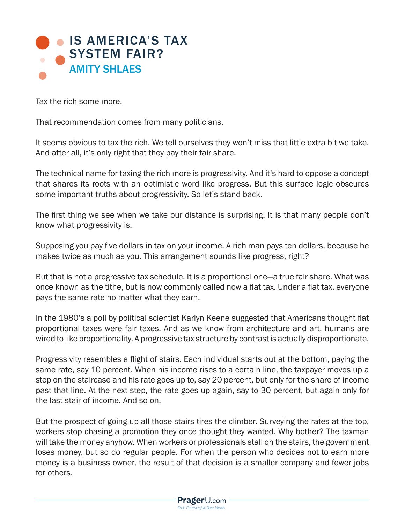

Tax the rich some more.

That recommendation comes from many politicians.

It seems obvious to tax the rich. We tell ourselves they won't miss that little extra bit we take. And after all, it's only right that they pay their fair share.

The technical name for taxing the rich more is progressivity. And it's hard to oppose a concept that shares its roots with an optimistic word like progress. But this surface logic obscures some important truths about progressivity. So let's stand back.

The first thing we see when we take our distance is surprising. It is that many people don't know what progressivity is.

Supposing you pay five dollars in tax on your income. A rich man pays ten dollars, because he makes twice as much as you. This arrangement sounds like progress, right?

But that is not a progressive tax schedule. It is a proportional one—a true fair share. What was once known as the tithe, but is now commonly called now a flat tax. Under a flat tax, everyone pays the same rate no matter what they earn.

In the 1980's a poll by political scientist Karlyn Keene suggested that Americans thought flat proportional taxes were fair taxes. And as we know from architecture and art, humans are wired to like proportionality. A progressive tax structure by contrast is actually disproportionate.

Progressivity resembles a flight of stairs. Each individual starts out at the bottom, paying the same rate, say 10 percent. When his income rises to a certain line, the taxpayer moves up a step on the staircase and his rate goes up to, say 20 percent, but only for the share of income past that line. At the next step, the rate goes up again, say to 30 percent, but again only for the last stair of income. And so on.

But the prospect of going up all those stairs tires the climber. Surveying the rates at the top, workers stop chasing a promotion they once thought they wanted. Why bother? The taxman will take the money anyhow. When workers or professionals stall on the stairs, the government loses money, but so do regular people. For when the person who decides not to earn more money is a business owner, the result of that decision is a smaller company and fewer jobs for others.